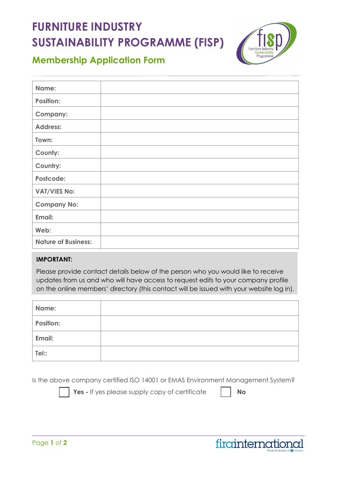## **FURNITURE INDUSTRY SUSTAINABILITY PROGRAMME (FISP)**



## **Membership Application Form**

| Name:                      |  |
|----------------------------|--|
| <b>Position:</b>           |  |
| <b>Company:</b>            |  |
| <b>Address:</b>            |  |
| Town:                      |  |
| County:                    |  |
| Country:                   |  |
| Postcode:                  |  |
| <b>VAT/VIES No:</b>        |  |
| <b>Company No:</b>         |  |
| Email:                     |  |
| Web:                       |  |
| <b>Nature of Business:</b> |  |

## **IMPORTANT:**

Please provide contact details below of the person who you would like to receive updates from us and who will have access to request edits to your company profile on the online members' directory (this contact will be issued with your website log in).

| Name:            |  |
|------------------|--|
| <b>Position:</b> |  |
| Email:           |  |
| Tel::            |  |

Is the above company certified ISO 14001 or EMAS Environment Management System?



**Yes** - If yes please supply copy of certificate  $\blacksquare$  **No**